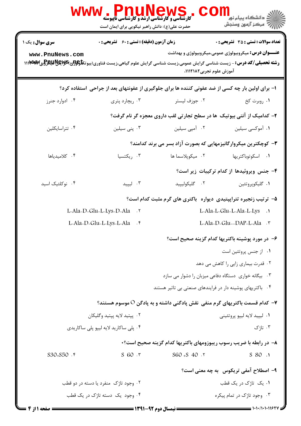|                                      | <b>HUINEW</b><br><b>کارشناسی و کارشناسی ارشد و کارشناسی ناپیوسته</b><br>حضرت علی(ع): دانش راهبر نیکویی برای ایمان است |                                                                                                                                                                                                                                                 | <mark>ڪ دانشڪاه پيام نور</mark><br>رآب مرکز آزمون وسنجش |  |
|--------------------------------------|-----------------------------------------------------------------------------------------------------------------------|-------------------------------------------------------------------------------------------------------------------------------------------------------------------------------------------------------------------------------------------------|---------------------------------------------------------|--|
| <b>سری سوال :</b> یک ۱               | <b>زمان آزمون (دقیقه) : تستی : 60 ٪ تشریحی : 0</b>                                                                    |                                                                                                                                                                                                                                                 | <b>تعداد سوالات : تستی : 35 - تشریحی : 0</b>            |  |
| www.PnuNews.com                      |                                                                                                                       | <b>عنـــوان درس:</b> میکروبیولوژی عمومی،میکروبیولوژی و بهداشت<br><b>رشته تحصیلی/کد درس:</b> - زیست شناسی گرایش عمومی،زیست شناسی گرایش علوم گیاهی،زیست فناوری(بیوتک <del>لولولزی)DRAM</del> Wپهاس ۱۱۱ <b>۱۷۲۹</b> ۸۳<br>آموزش علوم تجربي1١١٢١٨٢. |                                                         |  |
|                                      |                                                                                                                       | ا- برای اولین بار چه کسی از ضد عفونی کننده ها برای جلوگیری از عفونتهای بعد از جراحی  ستفاده کرد؟                                                                                                                                                |                                                         |  |
| ۰۴ ادوارد جنرز                       | ۰۳ ریچارد پتری                                                                                                        | ۰۲ جوزف ليستر                                                                                                                                                                                                                                   | ۰۱ روبرت کخ                                             |  |
|                                      |                                                                                                                       | ۲- کدامیک از آنتی بیوتیک ًها در سطح تجارتی لقب داروی معجزه گر نام گرفت؟                                                                                                                                                                         |                                                         |  |
| ۰۴ تتراسايكلين                       | ۰۳ پنی سیلین                                                                                                          | ۰۲ آمپی سیلین                                                                                                                                                                                                                                   | ۰۱ آموکسی سیلین                                         |  |
|                                      |                                                                                                                       | ۳- کوچکترین میکروارگانیزمهایی که بصورت آزاد بسر می برند کدامند؟                                                                                                                                                                                 |                                                         |  |
| ۰۴ کلامیدیاها                        | ۰۳ ریکتسیا                                                                                                            | ٠٢ ميكوپلاسما ها                                                                                                                                                                                                                                | ۰۱ اسکوتوباکتریها                                       |  |
|                                      |                                                                                                                       |                                                                                                                                                                                                                                                 | ۴- جنس ویروئیدها از کدام ترکیبات زیر است؟               |  |
| ۰۴ نوکلئیک اسید                      | ۰۳ لیپید                                                                                                              | ٠٢ گليکوليپيد                                                                                                                                                                                                                                   | ۰۱ گليکوپروتئين                                         |  |
|                                      |                                                                                                                       | ۵– ترتیب زنجیره تتراپپتیدی دیواره باکتری های گرم مثبت کدام است؟                                                                                                                                                                                 |                                                         |  |
|                                      | L-Ala-D-Glu-L-Lys-D-Ala . ٢                                                                                           | L-Ala-L-Glu-L-Ala-L-Lys .1                                                                                                                                                                                                                      |                                                         |  |
|                                      | L-Ala-D-Glu-L-Lys-L-Ala . ۴                                                                                           |                                                                                                                                                                                                                                                 | L-Ala-D-Glu--DAP-L-Ala . ٣                              |  |
|                                      |                                                                                                                       | ۶– در مورد پوشینه باکتریها کدام گزینه صحیح است؟                                                                                                                                                                                                 |                                                         |  |
|                                      |                                                                                                                       |                                                                                                                                                                                                                                                 | ٠١ از جنس پروتئين است                                   |  |
|                                      |                                                                                                                       |                                                                                                                                                                                                                                                 | ۰۲ قدرت بیماری زایی را کاهش می دهد                      |  |
|                                      |                                                                                                                       | ۰۳ بیگانه خواری دستگاه دفاعی میزبان را دشوار می سازد                                                                                                                                                                                            |                                                         |  |
|                                      |                                                                                                                       | ۰۴ باکتریهای پوشینه دار در فرایندهای صنعتی بی تاثیر هستند                                                                                                                                                                                       |                                                         |  |
|                                      |                                                                                                                       | ۷–  کدام قسمت باکتریهای گرم منفی  نقش پادگنی داشته و به پادگن O موسوم هستند؟                                                                                                                                                                    |                                                         |  |
| ۰۲ پپتيد لايه پپتيد وگليکان          |                                                                                                                       | ۰۱ ليپيد لايه ليپو پروتئيني                                                                                                                                                                                                                     |                                                         |  |
|                                      | ۰۴ پلی ساکارید لایه لیپو پلی ساکاریدی                                                                                 |                                                                                                                                                                                                                                                 | ۰۳ تاژک                                                 |  |
|                                      |                                                                                                                       | ۸– در رابطه با ضریب رسوب ریبوزومهای باکتریها کدام گزینه صحیح است؟۰                                                                                                                                                                              |                                                         |  |
| $S30+S50$ . ۴                        | $S$ 60 $.7$                                                                                                           | $S60 + S$ 40 . 7                                                                                                                                                                                                                                | S 80.1                                                  |  |
|                                      |                                                                                                                       |                                                                                                                                                                                                                                                 | ۹- اصطلاح آمفي تريكوس۔به چه معنى است؟                   |  |
| ۰۲ وجود تاژک منفرد یا دسته در دو قطب |                                                                                                                       | ۰۱. یک تاژک در یک قطب                                                                                                                                                                                                                           |                                                         |  |
| ۰۴ وجود یک دسته تاژک در یک قطب       |                                                                                                                       |                                                                                                                                                                                                                                                 | ۰۳ وجود تاژک در تمام پیکره                              |  |
| صفحه ۱۱ز ۴                           | <b>ـــــــــــــــ نیمسال دوم ۹۲-۱۳۹۱ ــــــــــــ</b>                                                                |                                                                                                                                                                                                                                                 |                                                         |  |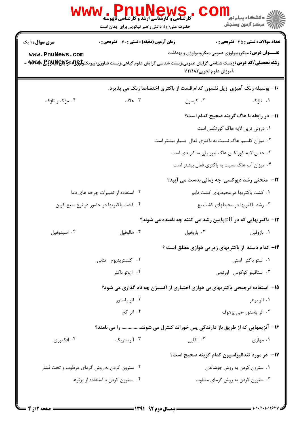| ڪ دانشڪاه پيام نور<br>7- مرڪز آزمون وسنڊش                                                                                                                                                                                                        | ، WWW . PLLUNGWS<br>کارشناسی و کارشناسی ارشد و کارشناسی ناپیوسته<br>حضرت علی(ع): دانش راهبر نیکویی برای ایمان است |                        |  |
|--------------------------------------------------------------------------------------------------------------------------------------------------------------------------------------------------------------------------------------------------|-------------------------------------------------------------------------------------------------------------------|------------------------|--|
| <b>تعداد سوالات : تستي : 35 - تشريحي : 0</b>                                                                                                                                                                                                     | <b>زمان آزمون (دقیقه) : تستی : 60 گشریحی : 0</b>                                                                  | <b>سری سوال :</b> ۱ یک |  |
| <b>عنـــوان درس:</b> میکروبیولوژی عمومی،میکروبیولوژی و بهداشت<br><b>رشته تحصیلی/کد درس:</b> زیست شناسی گرایش عمومی،زیست شناسی گرایش علوم گیاهی،زیست فناوری(بیوتکنو <del>لوژی</del> )،گیچیچی)پیچی ۱ <b>۱۹۲۸۳</b> ۸۰ -<br>،آموزش علوم تجربي1۱۱۲۱۸۲ |                                                                                                                   | www.PnuNews.com        |  |
| ∙ا− بوسیله رنگ آمیزی زیل نلسون کدام قست از باکتری اختصاصا رنگ می پذیرد.                                                                                                                                                                          |                                                                                                                   |                        |  |
| ۰۱ تاژک<br>۰۲ کپسول                                                                                                                                                                                                                              | ۰۳ هاگ                                                                                                            | ۰۴ مژک و تاژک          |  |
| 11- در رابطه با هاگ گزینه صحیح کدام است؟                                                                                                                                                                                                         |                                                                                                                   |                        |  |
| ۰۱ درونی ترین لایه هاگ کورتکس است                                                                                                                                                                                                                |                                                                                                                   |                        |  |
| ۰۲ میزان کلسیم هاگ نسبت به باکتری فعال بسیار بیشتر است                                                                                                                                                                                           |                                                                                                                   |                        |  |
| ۰۳ جنس لایه کورتکس هاگ لیپو پلی ساکاریدی است                                                                                                                                                                                                     |                                                                                                                   |                        |  |
| ۰۴ میزان آب هاگ نسبت به باکتری فعال بیشتر است                                                                                                                                                                                                    |                                                                                                                   |                        |  |
| <b>۱۲</b> - منحنی رشد دیوکسی چه زمانی بدست می آیبد؟                                                                                                                                                                                              |                                                                                                                   |                        |  |
| ۰۱ کشت باکتریها در محیطهای کشت دایم                                                                                                                                                                                                              | ۰۲ استفاده از تغییرات چرخه های دما                                                                                |                        |  |
| ۰۳ رشد باکتریها در محیطهای کشت بچ                                                                                                                                                                                                                | ۰۴ کشت باکتریها در حضور دو نوع منبع کربن                                                                          |                        |  |
| ۱۳- باکتریهایی که در pH پایین رشد می کنند چه نامیده می شوند؟                                                                                                                                                                                     |                                                                                                                   |                        |  |
| ٠٢ باروفيل<br>٠١. بازوفيل                                                                                                                                                                                                                        | ۰۳ هالوفيل                                                                                                        | ۰۴ اسيدوفيل            |  |
| <b>۱۴</b> – کدام دسته از باکتریهای زیر بی هوازی مطلق است ؟                                                                                                                                                                                       |                                                                                                                   |                        |  |
| ۰۱ استو باکتر استی                                                                                                                                                                                                                               | ۰۲ کلستریدیوم تتانی                                                                                               |                        |  |
| ۰۳ استافیلو کوکوس اورئوس                                                                                                                                                                                                                         | ۰۴ ازوتو باکتر                                                                                                    |                        |  |
| ۱۵− استفاده ترجیحی باکتریهای بی هوازی اختیاری از اکسیژن چه نام گذاری می شود؟                                                                                                                                                                     |                                                                                                                   |                        |  |
| ۰۱ اثر بوهر                                                                                                                                                                                                                                      | ۰۲ اثر پاستور                                                                                                     |                        |  |
| ۰۳ اثر پاستور -می پرهوف                                                                                                                                                                                                                          | ۰۴ اثر کخ                                                                                                         |                        |  |
| ۱۶– آنزیمهایی که از طریق باز دارندگی پس خوراند کنترل می شوند را می نامند؟                                                                                                                                                                        |                                                                                                                   |                        |  |
| ۰۲ القایی<br>۰۱ مهاری                                                                                                                                                                                                                            | ۰۳ آلوستریک                                                                                                       | ۰۴ افکتوری             |  |
| ۱۷–  در مورد تندالیزاسیون کدام گزینه صحیح است؟                                                                                                                                                                                                   |                                                                                                                   |                        |  |
| ۰۱ سترون کردن به روش جوشاندن                                                                                                                                                                                                                     | ۰۲ سترون کردن به روش گرمای مرطوب و تحت فشار                                                                       |                        |  |
| ۰۳ سترون کردن به روش گرمای متناوب                                                                                                                                                                                                                | ۰۴ سترون کردن با استفاده از پرتوها                                                                                |                        |  |
|                                                                                                                                                                                                                                                  |                                                                                                                   |                        |  |
|                                                                                                                                                                                                                                                  |                                                                                                                   |                        |  |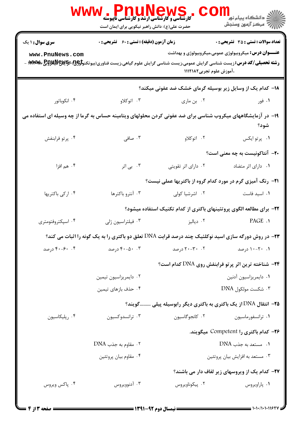|                        | ، I' <b>I LUN CWS کا ایروت</b><br>کارشناسی و کارشناسی ارشد و کارشناسی ناپیوسته<br>حضرت علی(ع): دانش راهبر نیکویی برای ایمان است                             |                          | ر دانشڪاه پيام نور "<br>ا∛ مرڪز آزمون وسنڊش                          |
|------------------------|-------------------------------------------------------------------------------------------------------------------------------------------------------------|--------------------------|----------------------------------------------------------------------|
| <b>سری سوال : ۱ یک</b> | <b>زمان آزمون (دقیقه) : تستی : 60 ٪ تشریحی : 0</b>                                                                                                          |                          | <b>تعداد سوالات : تستي : 35 ٪ تشریحي : 0</b>                         |
| www.PnuNews.com        | <b>رشته تحصیلی/کد درس:</b> زیست شناسی گرایش عمومی،زیست شناسی گرایش علوم گیاهی،زیست فناوری(بیوتکنو <del>لوC</del> &&وR <b>W&amp;&amp;رEB&amp;و ۱۳۸۳۸۸۰</b> - | ،آموزش علوم تجربی۱۱۱۲۱۸۲ | <b>عنـــوان درس:</b> میکروبیولوژی عمومی،میکروبیولوژی و بهداشت        |
|                        |                                                                                                                                                             |                          | ۱۸– کدام یک از وسایل زیر بوسیله گرمای خشک ضد عفونی میکند؟            |
| ۰۴ انکوباتور           | ۰۳ اتوکلاو                                                                                                                                                  | ۰۲ بن ماري               | ۰۱ فور                                                               |
|                        | ۱۹– در آزمایشگاههای میکروب شناسی برای ضد عفونی کردن محلولهای ویتامینه حساس به گرما از چه وسیله ای استفاده می                                                |                          | شود؟                                                                 |
| ۰۴ پرتو فرابنفش        | ۰۳ صافی                                                                                                                                                     | ۰۲ اتوکلاو               | ٠١. پرتوايكس                                                         |
|                        |                                                                                                                                                             |                          | <b>۳۰</b> آنتاکونیست به چه معنی است؟                                 |
| ۰۴ هم افزا             | ۰۳ بی اثر                                                                                                                                                   | ۰۲ دارای اثر تقویتی      | ٠١ دارای اثر متضاد                                                   |
|                        |                                                                                                                                                             |                          | <b>۲۱</b> - رنگ آمیزی گرم در مورد کدام گروه از باکتریها عملی نیست؟   |
| ۰۴ ارکی باکتریها       | ۰۳ آنترو باکترها                                                                                                                                            | ۰۲ اشرشیا کولی           | ٠١. اسيد فاست                                                        |
|                        |                                                                                                                                                             |                          | ۲۲- برای مطالعه الگوی پروتئینهای باکتری از کدام تکنیک استفاده میشود؟ |
| ۰۴ اسپکتروفتومتری      | ۰۳ فیلتراسیون ژلی                                                                                                                                           | ۰۲ دیالیز                | PAGE .1                                                              |
|                        | <b>۲۳</b> - در روش دورگه سازی اسید نوکلئیک چند درصد قرابت DNA تعلق دو باکتری را به یک گونه را اثبات می کند؟                                                 |                          |                                                                      |
| ۴. ۴۰-۴۰ درصد          | ۰. ۴۰-۴۰ درصد                                                                                                                                               | ۲۰ -۳۰-۲۰ درصد           | ۰۱ - ۲۰- ۱۰ درصد                                                     |
|                        | <b>۲۴</b> - شناخته ترین اثر پرتو فرابنفش روی DNA کدام است؟                                                                                                  |                          |                                                                      |
|                        | ۰۲ دايمريزاسيون تيمين                                                                                                                                       |                          | ٠١ دايمريزاسيون آدنين                                                |
|                        | ۰۴ حذف بازهای تیمین                                                                                                                                         |                          | ۰۳ شكست مولكول DNA                                                   |
|                        |                                                                                                                                                             |                          | ۲۵– انتقال DNA از یک باکتری به باکتری دیگر رابوسیله پیلی گویند؟      |
| ۰۴ رپلیکاسیون          | ۰۳ ترانسدوكسيون                                                                                                                                             | ۰۲ کانجو گاسیون          | ٠١ ترانسفورماسيون                                                    |
|                        |                                                                                                                                                             |                          | ۲۶– کدام باکتری را Competent میگویند.                                |
|                        | ۰۲ مقاوم به جذب DNA                                                                                                                                         |                          | 1. مستعد به جذب DNA                                                  |
|                        | ۰۴ مقاوم بيان پروتئين                                                                                                                                       |                          | ۰۳ مستعد به افزایش بیان پروتئین                                      |
|                        |                                                                                                                                                             |                          | ۲۷- کدام یک از ویروسهای زیر لفاف دار می باشند؟                       |
| ۰۴ پاکس ویروس          | ۰۳ آدنوويروس                                                                                                                                                | ۰۲ پیکوناویروس           | ٠١. پاراويروس                                                        |